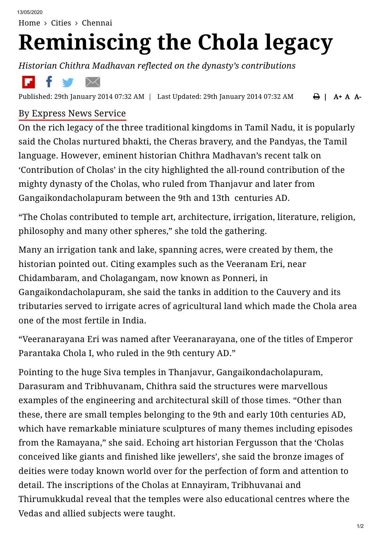[Home](https://www.newindianexpress.com/)  $>$  [Cities](https://www.newindianexpress.com/cities)  $>$  [Chennai](https://www.newindianexpress.com/cities/chennai)

## **Reminiscing the Chola legacy**

*Historian Chithra Madhavan reflected on the dynasty's contributions*



 $\bigoplus$  | A + A A-Published: 29th January 2014 07:32 AM | Last Updated: 29th January 2014 07:32 AM

## By [Express](https://www.newindianexpress.com/author/Express-News-Service/69) News Service

On the rich legacy of the three traditional kingdoms in Tamil Nadu, it is popularly said the Cholas nurtured bhakti, the Cheras bravery, and the Pandyas, the Tamil language. However, eminent historian Chithra Madhavan's recent talk on 'Contribution of Cholas' in the city highlighted the all-round contribution of the mighty dynasty of the Cholas, who ruled from Thanjavur and later from Gangaikondacholapuram between the 9th and 13th centuries AD.

"The Cholas contributed to temple art, architecture, irrigation, literature, religion, philosophy and many other spheres," she told the gathering.

Many an irrigation tank and lake, spanning acres, were created by them, the historian pointed out. Citing examples such as the Veeranam Eri, near Chidambaram, and Cholagangam, now known as Ponneri, in Gangaikondacholapuram, she said the tanks in addition to the Cauvery and its tributaries served to irrigate acres of agricultural land which made the Chola area one of the most fertile in India.

"Veeranarayana Eri was named after Veeranarayana, one of the titles of Emperor Parantaka Chola I, who ruled in the 9th century AD."

Pointing to the huge Siva temples in Thanjavur, Gangaikondacholapuram, Darasuram and Tribhuvanam, Chithra said the structures were marvellous examples of the engineering and architectural skill of those times. "Other than these, there are small temples belonging to the 9th and early 10th centuries AD, which have remarkable miniature sculptures of many themes including episodes from the Ramayana," she said. Echoing art historian Fergusson that the 'Cholas conceived like giants and finished like jewellers', she said the bronze images of deities were today known world over for the perfection of form and attention to detail. The inscriptions of the Cholas at Ennayiram, Tribhuvanai and Thirumukkudal reveal that the temples were also educational centres where the Vedas and allied subjects were taught.